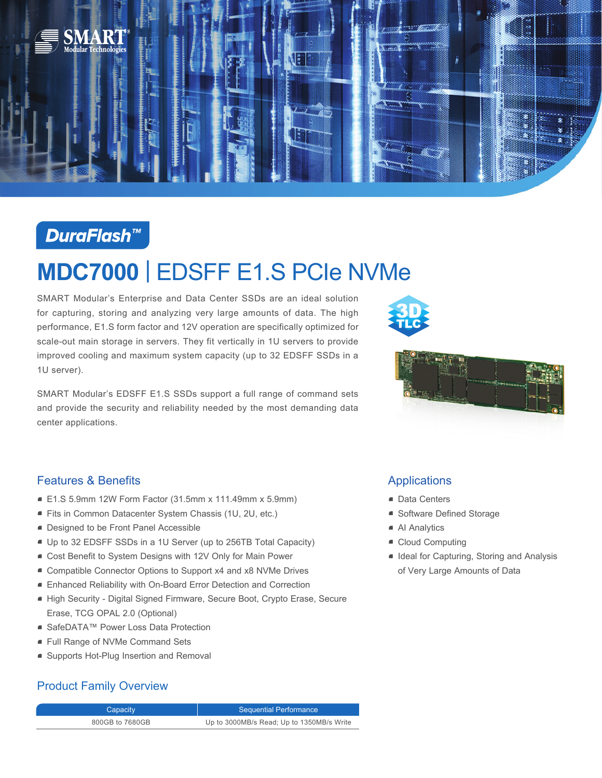

# **DuraFlash™**

# **MDC7000** | EDSFF E1.S PCIe NVMe

SMART Modular's Enterprise and Data Center SSDs are an ideal solution for capturing, storing and analyzing very large amounts of data. The high performance, E1.S form factor and 12V operation are specifically optimized for scale-out main storage in servers. They fit vertically in 1U servers to provide improved cooling and maximum system capacity (up to 32 EDSFF SSDs in a 1U server).

SMART Modular's EDSFF E1.S SSDs support a full range of command sets and provide the security and reliability needed by the most demanding data center applications.





### Features & Benefits

- E1.S 5.9mm 12W Form Factor (31.5mm x 111.49mm x 5.9mm)
- Fits in Common Datacenter System Chassis (1U, 2U, etc.)
- Designed to be Front Panel Accessible
- Up to 32 EDSFF SSDs in a 1U Server (up to 256TB Total Capacity)
- Cost Benefit to System Designs with 12V Only for Main Power
- Compatible Connector Options to Support x4 and x8 NVMe Drives
- Enhanced Reliability with On-Board Error Detection and Correction
- High Security Digital Signed Firmware, Secure Boot, Crypto Erase, Secure Erase, TCG OPAL 2.0 (Optional)
- SafeDATA™ Power Loss Data Protection
- Full Range of NVMe Command Sets
- Supports Hot-Plug Insertion and Removal

## Product Family Overview

Capacity **Sequential Performance** 800GB to 7680GB Up to 3000MB/s Read; Up to 1350MB/s Write

## Applications

- Data Centers
- Software Defined Storage
- AI Analytics
- Cloud Computing
- Ideal for Capturing, Storing and Analysis of Very Large Amounts of Data